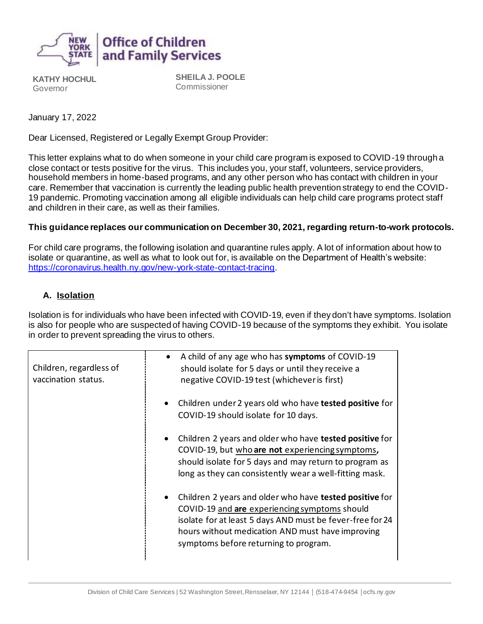

**KATHY HOCHUL** Governor

**SHEILA J. POOLE** Commissioner

January 17, 2022

Dear Licensed, Registered or Legally Exempt Group Provider:

This letter explains what to do when someone in your child care program is exposed to COVID-19 through a close contact or tests positive for the virus. This includes you, your staff, volunteers, service providers, household members in home-based programs, and any other person who has contact with children in your care. Remember that vaccination is currently the leading public health prevention strategy to end the COVID-19 pandemic. Promoting vaccination among all eligible individuals can help child care programs protect staff and children in their care, as well as their families.

## **This guidance replaces our communication on December 30, 2021, regarding return-to-work protocols.**

For child care programs, the following isolation and quarantine rules apply. A lot of information about how to isolate or quarantine, as well as what to look out for, is available on the Department of Health's website: <https://coronavirus.health.ny.gov/new-york-state-contact-tracing>.

## **A. Isolation**

Isolation is for individuals who have been infected with COVID-19, even if they don't have symptoms. Isolation is also for people who are suspected of having COVID-19 because of the symptoms they exhibit. You isolate in order to prevent spreading the virus to others.

| Children, regardless of<br>vaccination status. | A child of any age who has symptoms of COVID-19<br>should isolate for 5 days or until they receive a<br>negative COVID-19 test (whichever is first)                                                                                                                |
|------------------------------------------------|--------------------------------------------------------------------------------------------------------------------------------------------------------------------------------------------------------------------------------------------------------------------|
|                                                | Children under 2 years old who have tested positive for<br>$\bullet$<br>COVID-19 should isolate for 10 days.                                                                                                                                                       |
|                                                | Children 2 years and older who have tested positive for<br>COVID-19, but who are not experiencing symptoms,<br>should isolate for 5 days and may return to program as<br>long as they can consistently wear a well-fitting mask.                                   |
|                                                | Children 2 years and older who have tested positive for<br>COVID-19 and are experiencing symptoms should<br>isolate for at least 5 days AND must be fever-free for 24<br>hours without medication AND must have improving<br>symptoms before returning to program. |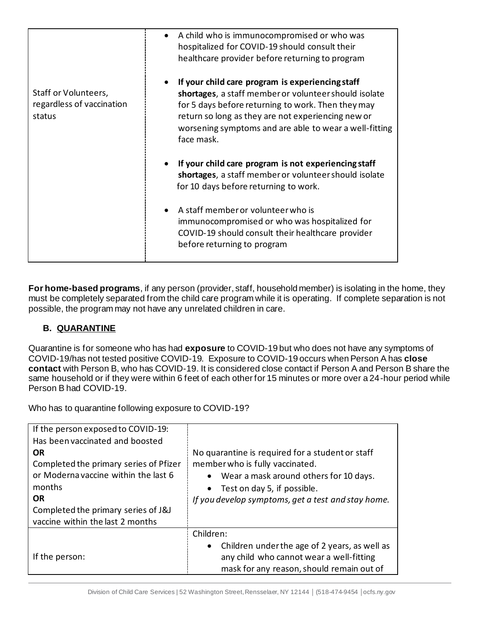|                                                             | A child who is immunocompromised or who was<br>hospitalized for COVID-19 should consult their<br>healthcare provider before returning to program                                                                                                                                              |
|-------------------------------------------------------------|-----------------------------------------------------------------------------------------------------------------------------------------------------------------------------------------------------------------------------------------------------------------------------------------------|
| Staff or Volunteers,<br>regardless of vaccination<br>status | If your child care program is experiencing staff<br>shortages, a staff member or volunteer should isolate<br>for 5 days before returning to work. Then they may<br>return so long as they are not experiencing new or<br>worsening symptoms and are able to wear a well-fitting<br>face mask. |
|                                                             | If your child care program is not experiencing staff<br>shortages, a staff member or volunteer should isolate<br>for 10 days before returning to work.                                                                                                                                        |
|                                                             | A staff member or volunteer who is<br>immunocompromised or who was hospitalized for<br>COVID-19 should consult their healthcare provider<br>before returning to program                                                                                                                       |

**For home-based programs**, if any person (provider, staff, household member) is isolating in the home, they must be completely separated from the child care program while it is operating. If complete separation is not possible, the program may not have any unrelated children in care.

## **B. QUARANTINE**

Quarantine is for someone who has had **exposure** to COVID-19 but who does not have any symptoms of COVID-19/has not tested positive COVID-19. Exposure to COVID-19 occurs when Person A has **close contact** with Person B, who has COVID-19. It is considered close contact if Person A and Person B share the same household or if they were within 6 feet of each other for 15 minutes or more over a 24-hour period while Person B had COVID-19.

Who has to quarantine following exposure to COVID-19?

| If the person exposed to COVID-19:<br>Has been vaccinated and boosted<br><b>OR</b><br>Completed the primary series of Pfizer<br>or Moderna vaccine within the last 6<br>months<br><b>OR</b><br>Completed the primary series of J&J<br>vaccine within the last 2 months | No quarantine is required for a student or staff<br>member who is fully vaccinated.<br>Wear a mask around others for 10 days.<br>$\bullet$<br>• Test on day 5, if possible.<br>If you develop symptoms, get a test and stay home. |
|------------------------------------------------------------------------------------------------------------------------------------------------------------------------------------------------------------------------------------------------------------------------|-----------------------------------------------------------------------------------------------------------------------------------------------------------------------------------------------------------------------------------|
| If the person:                                                                                                                                                                                                                                                         | Children:<br>Children under the age of 2 years, as well as<br>$\bullet$<br>any child who cannot wear a well-fitting<br>mask for any reason, should remain out of                                                                  |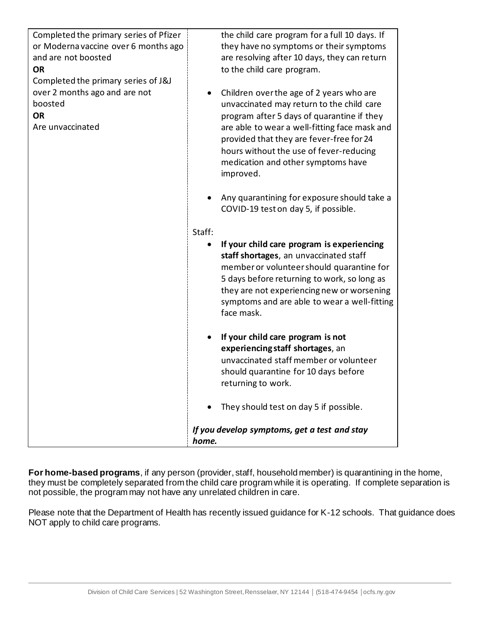| Completed the primary series of Pfizer<br>or Moderna vaccine over 6 months ago<br>and are not boosted<br><b>OR</b><br>Completed the primary series of J&J | the child care program for a full 10 days. If<br>they have no symptoms or their symptoms<br>are resolving after 10 days, they can return<br>to the child care program.                                                                                                                                                              |
|-----------------------------------------------------------------------------------------------------------------------------------------------------------|-------------------------------------------------------------------------------------------------------------------------------------------------------------------------------------------------------------------------------------------------------------------------------------------------------------------------------------|
| over 2 months ago and are not<br>boosted<br><b>OR</b><br>Are unvaccinated                                                                                 | Children over the age of 2 years who are<br>٠<br>unvaccinated may return to the child care<br>program after 5 days of quarantine if they<br>are able to wear a well-fitting face mask and<br>provided that they are fever-free for 24<br>hours without the use of fever-reducing<br>medication and other symptoms have<br>improved. |
|                                                                                                                                                           | Any quarantining for exposure should take a<br>COVID-19 test on day 5, if possible.                                                                                                                                                                                                                                                 |
|                                                                                                                                                           | Staff:<br>If your child care program is experiencing<br>$\bullet$<br>staff shortages, an unvaccinated staff<br>member or volunteer should quarantine for<br>5 days before returning to work, so long as<br>they are not experiencing new or worsening<br>symptoms and are able to wear a well-fitting<br>face mask.                 |
|                                                                                                                                                           | If your child care program is not<br>$\bullet$<br>experiencing staff shortages, an<br>unvaccinated staff member or volunteer<br>should quarantine for 10 days before<br>returning to work.                                                                                                                                          |
|                                                                                                                                                           | They should test on day 5 if possible.<br>If you develop symptoms, get a test and stay                                                                                                                                                                                                                                              |
|                                                                                                                                                           | home.                                                                                                                                                                                                                                                                                                                               |

**For home-based programs**, if any person (provider, staff, household member) is quarantining in the home, they must be completely separated from the child care program while it is operating. If complete separation is not possible, the program may not have any unrelated children in care.

Please note that the Department of Health has recently issued guidance for K-12 schools. That guidance does NOT apply to child care programs.